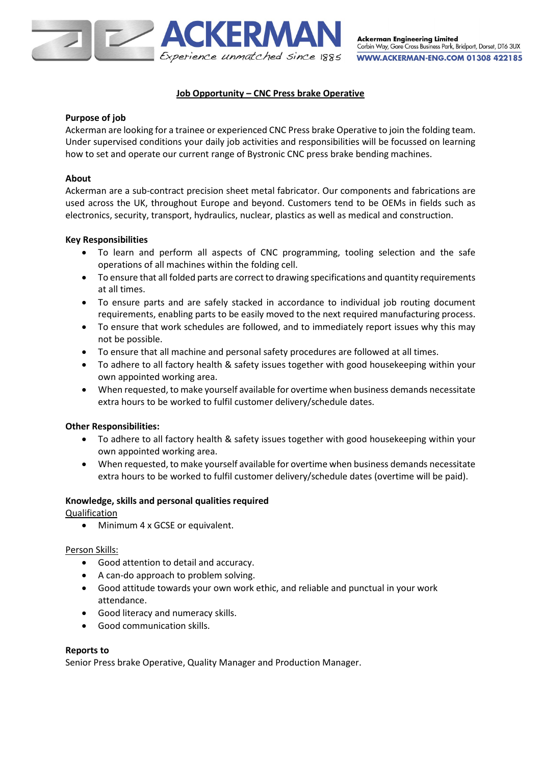

# **Job Opportunity – CNC Press brake Operative**

### **Purpose of job**

Ackerman are looking for a trainee or experienced CNC Press brake Operative to join the folding team. Under supervised conditions your daily job activities and responsibilities will be focussed on learning how to set and operate our current range of Bystronic CNC press brake bending machines.

## **About**

Ackerman are a sub-contract precision sheet metal fabricator. Our components and fabrications are used across the UK, throughout Europe and beyond. Customers tend to be OEMs in fields such as electronics, security, transport, hydraulics, nuclear, plastics as well as medical and construction.

#### **Key Responsibilities**

- To learn and perform all aspects of CNC programming, tooling selection and the safe operations of all machines within the folding cell.
- To ensure that all folded parts are correct to drawing specifications and quantity requirements at all times.
- To ensure parts and are safely stacked in accordance to individual job routing document requirements, enabling parts to be easily moved to the next required manufacturing process.
- To ensure that work schedules are followed, and to immediately report issues why this may not be possible.
- To ensure that all machine and personal safety procedures are followed at all times.
- To adhere to all factory health & safety issues together with good housekeeping within your own appointed working area.
- When requested, to make yourself available for overtime when business demands necessitate extra hours to be worked to fulfil customer delivery/schedule dates.

#### **Other Responsibilities:**

- To adhere to all factory health & safety issues together with good housekeeping within your own appointed working area.
- When requested, to make yourself available for overtime when business demands necessitate extra hours to be worked to fulfil customer delivery/schedule dates (overtime will be paid).

#### **Knowledge, skills and personal qualities required**

Qualification

• Minimum 4 x GCSE or equivalent.

#### Person Skills:

- Good attention to detail and accuracy.
- A can-do approach to problem solving.
- Good attitude towards your own work ethic, and reliable and punctual in your work attendance.
- Good literacy and numeracy skills.
- Good communication skills.

#### **Reports to**

Senior Press brake Operative, Quality Manager and Production Manager.